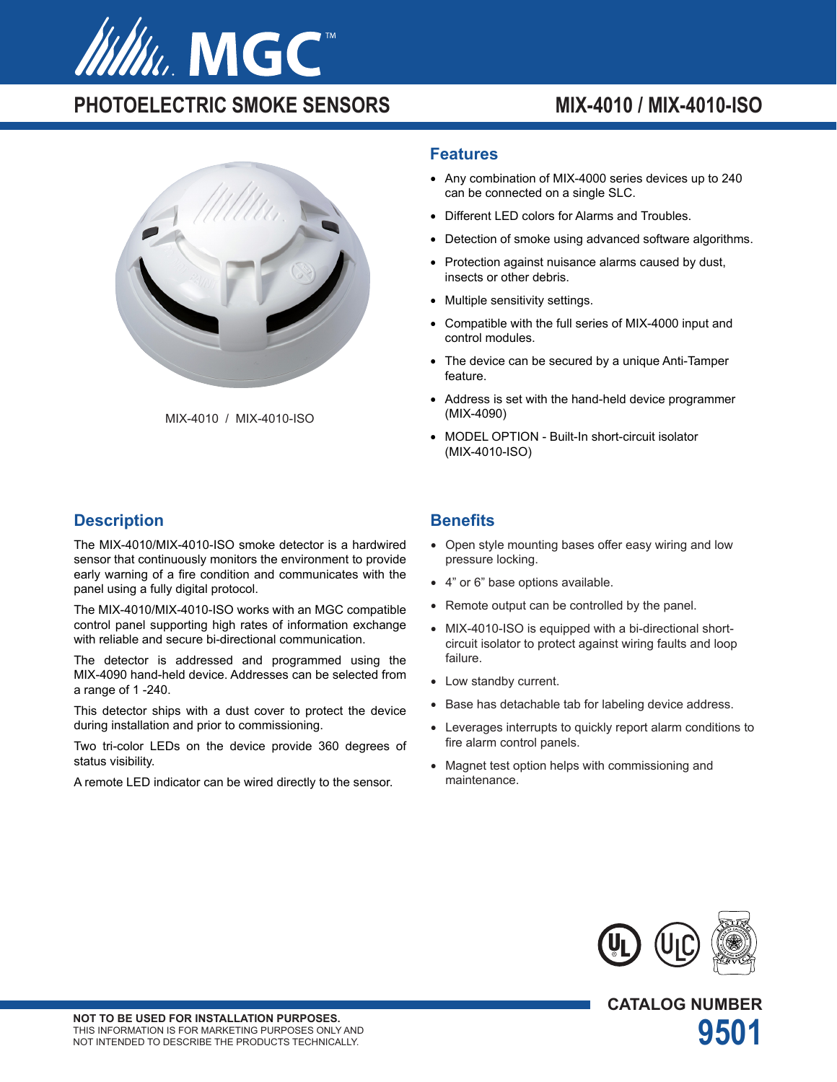

# PHOTOELECTRIC SMOKE SENSORS MIX-4010 / MIX-4010-ISO



MIX-4010 / MIX-4010-ISO

## **Description**

The MIX-4010/MIX-4010-ISO smoke detector is a hardwired sensor that continuously monitors the environment to provide early warning of a fire condition and communicates with the panel using a fully digital protocol.

The MIX-4010/MIX-4010-ISO works with an MGC compatible control panel supporting high rates of information exchange with reliable and secure bi-directional communication.

The detector is addressed and programmed using the MIX-4090 hand-held device. Addresses can be selected from a range of 1 -240.

This detector ships with a dust cover to protect the device during installation and prior to commissioning.

Two tri-color LEDs on the device provide 360 degrees of status visibility.

A remote LED indicator can be wired directly to the sensor.

#### **Features**

- Any combination of MIX-4000 series devices up to 240 can be connected on a single SLC.
- Different LED colors for Alarms and Troubles.
- Detection of smoke using advanced software algorithms.
- Protection against nuisance alarms caused by dust, insects or other debris.
- Multiple sensitivity settings.
- Compatible with the full series of MIX-4000 input and control modules.
- The device can be secured by a unique Anti-Tamper feature.
- Address is set with the hand-held device programmer (MIX-4090)
- MODEL OPTION Built-In short-circuit isolator (MIX-4010-ISO)

### **Benefits**

- Open style mounting bases offer easy wiring and low pressure locking.
- 4" or 6" base options available.
- Remote output can be controlled by the panel.
- MIX-4010-ISO is equipped with a bi-directional shortcircuit isolator to protect against wiring faults and loop failure.
- Low standby current.
- Base has detachable tab for labeling device address.
- Leverages interrupts to quickly report alarm conditions to fire alarm control panels.
- Magnet test option helps with commissioning and maintenance.



**CATALOG NUMBER**